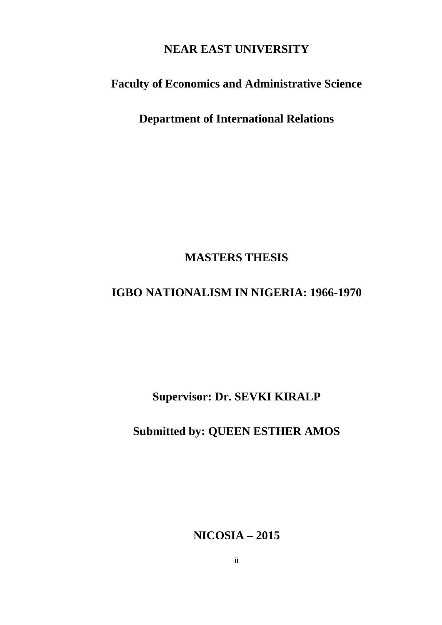# **NEAR EAST UNIVERSITY**

# **Faculty of Economics and Administrative Science**

**Department of International Relations**

# **MASTERS THESIS**

# **IGBO NATIONALISM IN NIGERIA: 1966-1970**

**Supervisor: Dr. SEVKI KIRALP**

# **Submitted by: QUEEN ESTHER AMOS**

**NICOSIA – 2015**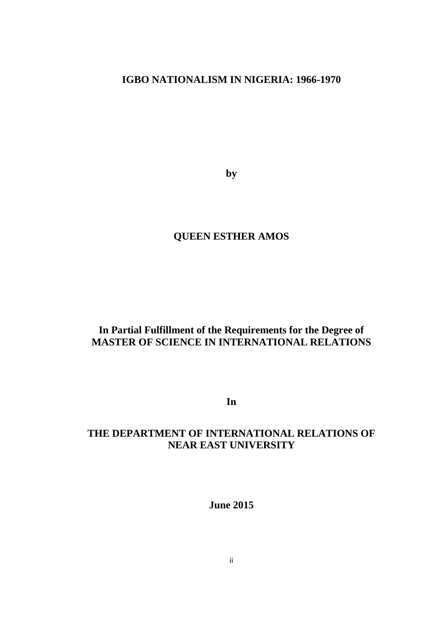# **IGBO NATIONALISM IN NIGERIA: 1966-1970**

**by**

## **QUEEN ESTHER AMOS**

## **In Partial Fulfillment of the Requirements for the Degree of MASTER OF SCIENCE IN INTERNATIONAL RELATIONS**

**In**

## **THE DEPARTMENT OF INTERNATIONAL RELATIONS OF NEAR EAST UNIVERSITY**

**June 2015**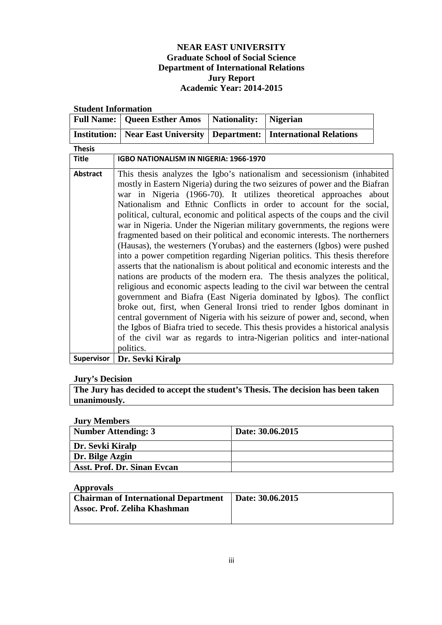### **NEAR EAST UNIVERSITY Graduate School of Social Science Department of International Relations Jury Report Academic Year: 2014-2015**

| <b>Full Name:</b>   | <b>Queen Esther Amos</b>               | <b>Nationality:</b> | <b>Nigerian</b>                                                                                                                                                                                                                                                                                                                                                                                                                                                                                                                                                                                                                                                                                                                                                                                                                                                                                                                                                                                                                                                                                                                                                                                                                                                                                                                                                |  |  |
|---------------------|----------------------------------------|---------------------|----------------------------------------------------------------------------------------------------------------------------------------------------------------------------------------------------------------------------------------------------------------------------------------------------------------------------------------------------------------------------------------------------------------------------------------------------------------------------------------------------------------------------------------------------------------------------------------------------------------------------------------------------------------------------------------------------------------------------------------------------------------------------------------------------------------------------------------------------------------------------------------------------------------------------------------------------------------------------------------------------------------------------------------------------------------------------------------------------------------------------------------------------------------------------------------------------------------------------------------------------------------------------------------------------------------------------------------------------------------|--|--|
| <b>Institution:</b> | <b>Near East University</b>            | Department:         | <b>International Relations</b>                                                                                                                                                                                                                                                                                                                                                                                                                                                                                                                                                                                                                                                                                                                                                                                                                                                                                                                                                                                                                                                                                                                                                                                                                                                                                                                                 |  |  |
| <b>Thesis</b>       |                                        |                     |                                                                                                                                                                                                                                                                                                                                                                                                                                                                                                                                                                                                                                                                                                                                                                                                                                                                                                                                                                                                                                                                                                                                                                                                                                                                                                                                                                |  |  |
| <b>Title</b>        | IGBO NATIONALISM IN NIGERIA: 1966-1970 |                     |                                                                                                                                                                                                                                                                                                                                                                                                                                                                                                                                                                                                                                                                                                                                                                                                                                                                                                                                                                                                                                                                                                                                                                                                                                                                                                                                                                |  |  |
| Abstract            | politics.                              |                     | This thesis analyzes the Igbo's nationalism and secessionism (inhabited<br>mostly in Eastern Nigeria) during the two seizures of power and the Biafran<br>war in Nigeria (1966-70). It utilizes theoretical approaches about<br>Nationalism and Ethnic Conflicts in order to account for the social,<br>political, cultural, economic and political aspects of the coups and the civil<br>war in Nigeria. Under the Nigerian military governments, the regions were<br>fragmented based on their political and economic interests. The northerners<br>(Hausas), the westerners (Yorubas) and the easterners (Igbos) were pushed<br>into a power competition regarding Nigerian politics. This thesis therefore<br>asserts that the nationalism is about political and economic interests and the<br>nations are products of the modern era. The thesis analyzes the political,<br>religious and economic aspects leading to the civil war between the central<br>government and Biafra (East Nigeria dominated by Igbos). The conflict<br>broke out, first, when General Ironsi tried to render Igbos dominant in<br>central government of Nigeria with his seizure of power and, second, when<br>the Igbos of Biafra tried to secede. This thesis provides a historical analysis<br>of the civil war as regards to intra-Nigerian politics and inter-national |  |  |
| <b>Supervisor</b>   | Dr. Sevki Kiralp                       |                     |                                                                                                                                                                                                                                                                                                                                                                                                                                                                                                                                                                                                                                                                                                                                                                                                                                                                                                                                                                                                                                                                                                                                                                                                                                                                                                                                                                |  |  |

#### **Student Information**

#### **Jury's Decision**

**The Jury has decided to accept the student's Thesis. The decision has been taken unanimously.**

**Jury Members**

| $0.41$ , $1.100$<br><b>Number Attending: 3</b> | Date: 30.06.2015 |
|------------------------------------------------|------------------|
| Dr. Sevki Kiralp                               |                  |
| Dr. Bilge Azgin                                |                  |
| Asst. Prof. Dr. Sinan Evcan                    |                  |

#### **Approvals**

| <b>Chairman of International Department</b>   Date: 30.06.2015 |  |
|----------------------------------------------------------------|--|
| Assoc. Prof. Zeliha Khashman                                   |  |
|                                                                |  |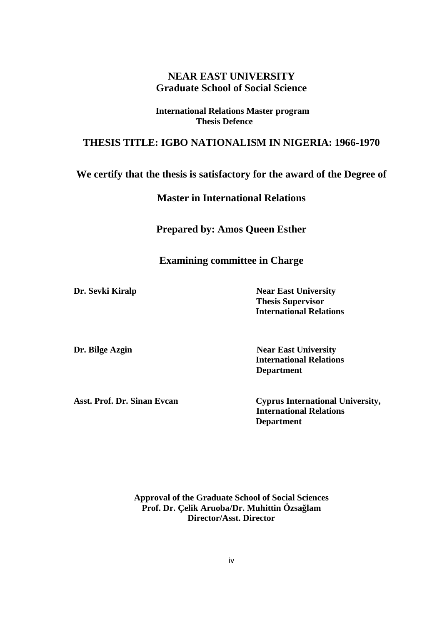### **NEAR EAST UNIVERSITY Graduate School of Social Science**

**International Relations Master program Thesis Defence**

### **THESIS TITLE: IGBO NATIONALISM IN NIGERIA: 1966-1970**

# **We certify that the thesis is satisfactory for the award of the Degree of**

### **Master in International Relations**

**Prepared by: Amos Queen Esther**

### **Examining committee in Charge**

**Dr. Sevki Kiralp Near East University Thesis Supervisor International Relations**

**Dr. Bilge Azgin Near East University International Relations Department**

**Asst. Prof. Dr. Sinan Evcan Cyprus International University, International Relations Department**

> **Approval of the Graduate School of Social Sciences Prof. Dr. Çelik Aruoba/Dr. Muhittin Özsa lam Director/Asst. Director**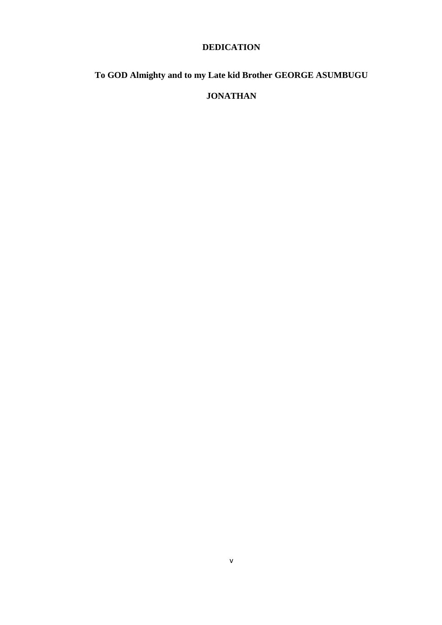### **DEDICATION**

# **To GOD Almighty and to my Late kid Brother GEORGE ASUMBUGU**

## **JONATHAN**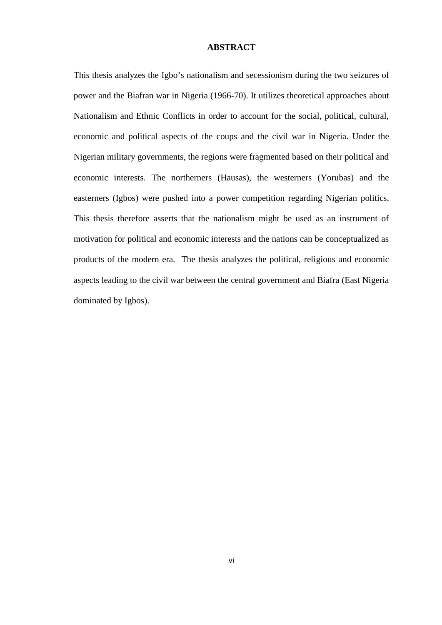#### **ABSTRACT**

This thesis analyzes the Igbo's nationalism and secessionism during the two seizures of power and the Biafran war in Nigeria (1966-70). It utilizes theoretical approaches about Nationalism and Ethnic Conflicts in order to account for the social, political, cultural, economic and political aspects of the coups and the civil war in Nigeria. Under the Nigerian military governments, the regions were fragmented based on their political and economic interests. The northerners (Hausas), the westerners (Yorubas) and the easterners (Igbos) were pushed into a power competition regarding Nigerian politics. This thesis therefore asserts that the nationalism might be used as an instrument of motivation for political and economic interests and the nations can be conceptualized as products of the modern era. The thesis analyzes the political, religious and economic aspects leading to the civil war between the central government and Biafra (East Nigeria dominated by Igbos).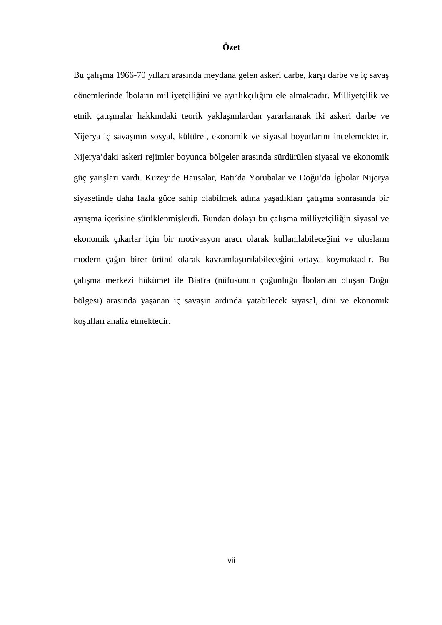#### **Özet**

Bu çalı ma 1966-70 yılları arasında meydana gelen askeri darbe, kar ı darbe ve iç sava dönemlerinde boların milliyetçili ini ve ayrılıkçılı ını ele almaktadır. Milliyetçilik ve etnik çatı malar hakkındaki teorik yakla ımlardan yararlanarak iki askeri darbe ve Nijerya iç sava ının sosyal, kültürel, ekonomik ve siyasal boyutlarını incelemektedir. Nijerya'daki askeri rejimler boyunca bölgeler arasında sürdürülen siyasal ve ekonomik güç yarı ları vardı. Kuzey'de Hausalar, Batı'da Yorubalar ve Do u'da gbolar Nijerya siyasetinde daha fazla güce sahip olabilmek adına ya adıkları çatı ma sonrasında bir ayrı ma içerisine sürüklenmi lerdi. Bundan dolayı bu çalı ma milliyetçili in siyasal ve ekonomik çıkarlar için bir motivasyon aracı olarak kullanılabilece ini ve ulusların modern ça in birer ürünü olarak kavramla tirilabilece ini ortaya koymaktadır. Bu çalı ma merkezi hükümet ile Biafra (nüfusunun çoğunluğu bolardan oluşan Doğu bölgesi) arasında ya anan iç sava ın ardında yatabilecek siyasal, dini ve ekonomik ko ulları analiz etmektedir.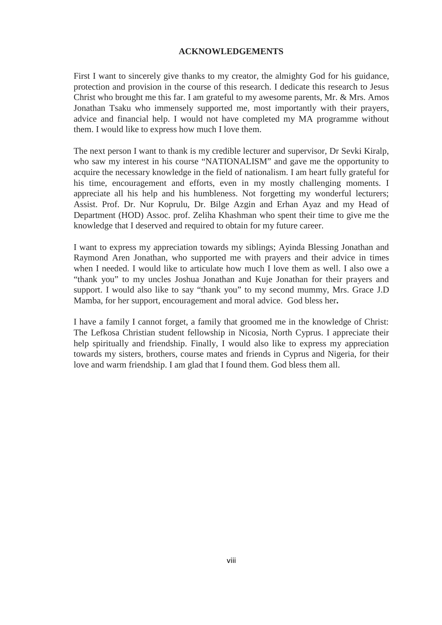#### **ACKNOWLEDGEMENTS**

First I want to sincerely give thanks to my creator, the almighty God for his guidance, protection and provision in the course of this research. I dedicate this research to Jesus Christ who brought me this far. I am grateful to my awesome parents, Mr. & Mrs. Amos Jonathan Tsaku who immensely supported me, most importantly with their prayers, advice and financial help. I would not have completed my MA programme without them. I would like to express how much I love them.

The next person I want to thank is my credible lecturer and supervisor, Dr Sevki Kiralp, who saw my interest in his course "NATIONALISM" and gave me the opportunity to acquire the necessary knowledge in the field of nationalism. I am heart fully grateful for his time, encouragement and efforts, even in my mostly challenging moments. I appreciate all his help and his humbleness. Not forgetting my wonderful lecturers; Assist. Prof. Dr. Nur Koprulu, Dr. Bilge Azgin and Erhan Ayaz and my Head of Department (HOD) Assoc. prof. Zeliha Khashman who spent their time to give me the knowledge that I deserved and required to obtain for my future career.

I want to express my appreciation towards my siblings; Ayinda Blessing Jonathan and Raymond Aren Jonathan, who supported me with prayers and their advice in times when I needed. I would like to articulate how much I love them as well. I also owe a "thank you" to my uncles Joshua Jonathan and Kuje Jonathan for their prayers and support. I would also like to say "thank you" to my second mummy, Mrs. Grace J.D Mamba, for her support, encouragement and moral advice. God bless her**.**

I have a family I cannot forget, a family that groomed me in the knowledge of Christ: The Lefkosa Christian student fellowship in Nicosia, North Cyprus. I appreciate their help spiritually and friendship. Finally, I would also like to express my appreciation towards my sisters, brothers, course mates and friends in Cyprus and Nigeria, for their love and warm friendship. I am glad that I found them. God bless them all.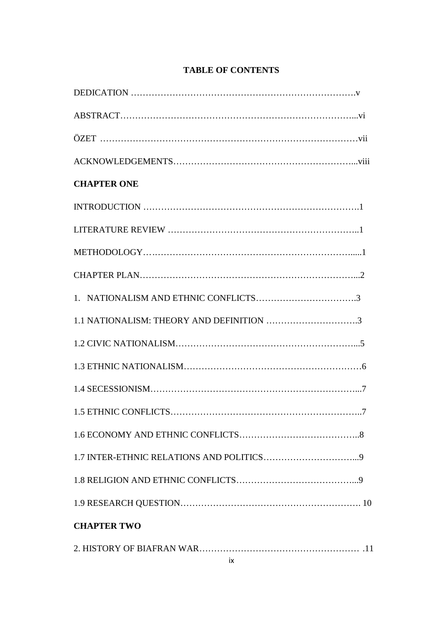| <b>CHAPTER ONE</b>                       |  |
|------------------------------------------|--|
|                                          |  |
|                                          |  |
|                                          |  |
|                                          |  |
|                                          |  |
| 1.1 NATIONALISM: THEORY AND DEFINITION 3 |  |
|                                          |  |
|                                          |  |
|                                          |  |
|                                          |  |
|                                          |  |
|                                          |  |
|                                          |  |
|                                          |  |
| <b>CHAPTER TWO</b>                       |  |
|                                          |  |

### **TABLE OF CONTENTS**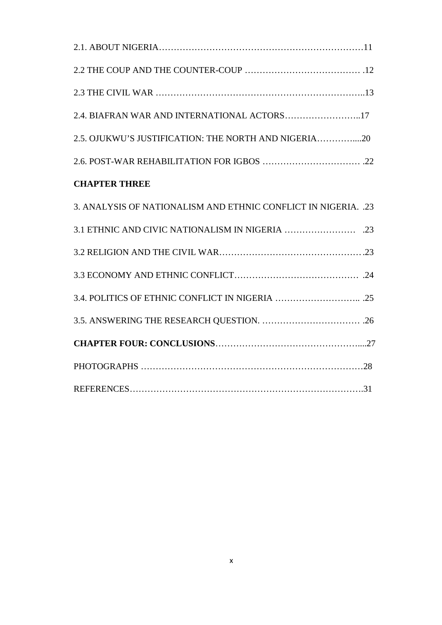| 2.5. OJUKWU'S JUSTIFICATION: THE NORTH AND NIGERIA20           |
|----------------------------------------------------------------|
|                                                                |
| <b>CHAPTER THREE</b>                                           |
| 3. ANALYSIS OF NATIONALISM AND ETHNIC CONFLICT IN NIGERIA. .23 |
|                                                                |
|                                                                |
|                                                                |
|                                                                |
|                                                                |
|                                                                |
|                                                                |
|                                                                |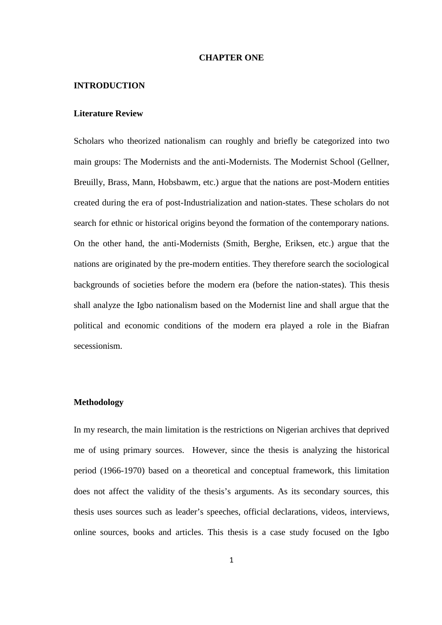#### **CHAPTER ONE**

#### **INTRODUCTION**

#### **Literature Review**

Scholars who theorized nationalism can roughly and briefly be categorized into two main groups: The Modernists and the anti-Modernists. The Modernist School (Gellner, Breuilly, Brass, Mann, Hobsbawm, etc.) argue that the nations are post-Modern entities created during the era of post-Industrialization and nation-states. These scholars do not search for ethnic or historical origins beyond the formation of the contemporary nations. On the other hand, the anti-Modernists (Smith, Berghe, Eriksen, etc.) argue that the nations are originated by the pre-modern entities. They therefore search the sociological backgrounds of societies before the modern era (before the nation-states). This thesis shall analyze the Igbo nationalism based on the Modernist line and shall argue that the political and economic conditions of the modern era played a role in the Biafran secessionism.

#### **Methodology**

In my research, the main limitation is the restrictions on Nigerian archives that deprived me of using primary sources. However, since the thesis is analyzing the historical period (1966-1970) based on a theoretical and conceptual framework, this limitation does not affect the validity of the thesis's arguments. As its secondary sources, this thesis uses sources such as leader's speeches, official declarations, videos, interviews, online sources, books and articles. This thesis is a case study focused on the Igbo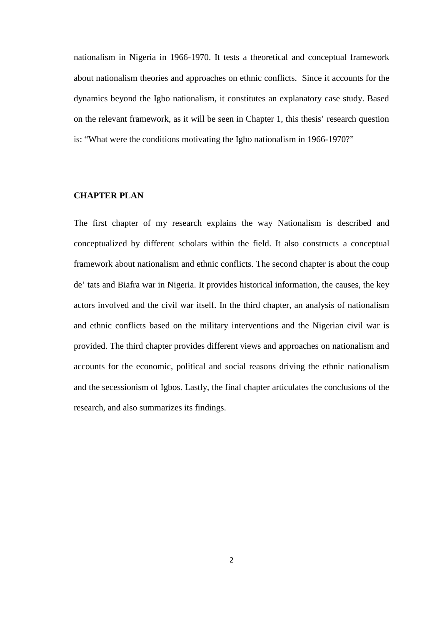nationalism in Nigeria in 1966-1970. It tests a theoretical and conceptual framework about nationalism theories and approaches on ethnic conflicts. Since it accounts for the dynamics beyond the Igbo nationalism, it constitutes an explanatory case study. Based on the relevant framework, as it will be seen in Chapter 1, this thesis' research question is: "What were the conditions motivating the Igbo nationalism in 1966-1970?"

### **CHAPTER PLAN**

The first chapter of my research explains the way Nationalism is described and conceptualized by different scholars within the field. It also constructs a conceptual framework about nationalism and ethnic conflicts. The second chapter is about the coup de' tats and Biafra war in Nigeria. It provides historical information, the causes, the key actors involved and the civil war itself. In the third chapter, an analysis of nationalism and ethnic conflicts based on the military interventions and the Nigerian civil war is provided. The third chapter provides different views and approaches on nationalism and accounts for the economic, political and social reasons driving the ethnic nationalism and the secessionism of Igbos. Lastly, the final chapter articulates the conclusions of the research, and also summarizes its findings.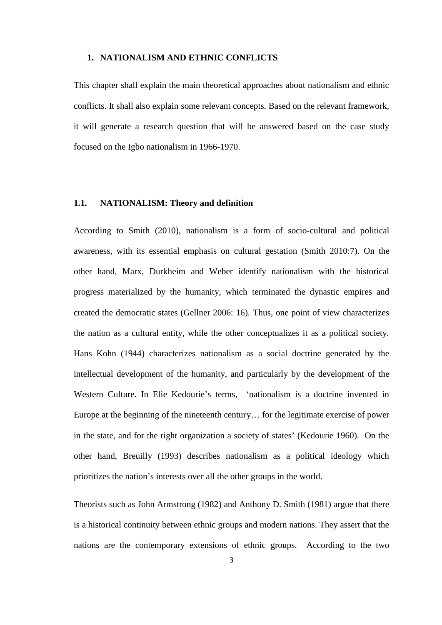#### **1. NATIONALISM AND ETHNIC CONFLICTS**

This chapter shall explain the main theoretical approaches about nationalism and ethnic conflicts. It shall also explain some relevant concepts. Based on the relevant framework, it will generate a research question that will be answered based on the case study focused on the Igbo nationalism in 1966-1970.

#### **1.1. NATIONALISM: Theory and definition**

According to Smith (2010), nationalism is a form of socio-cultural and political awareness, with its essential emphasis on cultural gestation (Smith 2010:7). On the other hand, Marx, Durkheim and Weber identify nationalism with the historical progress materialized by the humanity, which terminated the dynastic empires and created the democratic states (Gellner 2006: 16). Thus, one point of view characterizes the nation as a cultural entity, while the other conceptualizes it as a political society. Hans Kohn (1944) characterizes nationalism as a social doctrine generated by the intellectual development of the humanity, and particularly by the development of the Western Culture. In Elie Kedourie's terms, 'nationalism is a doctrine invented in Europe at the beginning of the nineteenth century… for the legitimate exercise of power in the state, and for the right organization a society of states' (Kedourie 1960). On the other hand, Breuilly (1993) describes nationalism as a political ideology which prioritizes the nation's interests over all the other groups in the world.

Theorists such as John Armstrong (1982) and Anthony D. Smith (1981) argue that there is a historical continuity between ethnic groups and modern nations. They assert that the nations are the contemporary extensions of ethnic groups. According to the two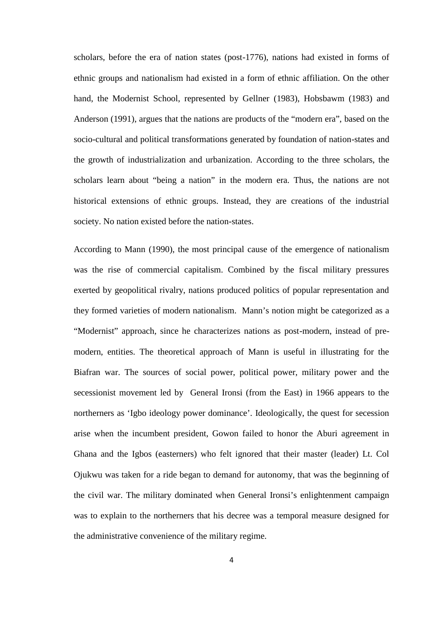scholars, before the era of nation states (post-1776), nations had existed in forms of ethnic groups and nationalism had existed in a form of ethnic affiliation. On the other hand, the Modernist School, represented by Gellner (1983), Hobsbawm (1983) and Anderson (1991), argues that the nations are products of the "modern era", based on the socio-cultural and political transformations generated by foundation of nation-states and the growth of industrialization and urbanization. According to the three scholars, the scholars learn about "being a nation" in the modern era. Thus, the nations are not historical extensions of ethnic groups. Instead, they are creations of the industrial society. No nation existed before the nation-states.

According to Mann (1990), the most principal cause of the emergence of nationalism was the rise of commercial capitalism. Combined by the fiscal military pressures exerted by geopolitical rivalry, nations produced politics of popular representation and they formed varieties of modern nationalism. Mann's notion might be categorized as a "Modernist" approach, since he characterizes nations as post-modern, instead of pre modern, entities. The theoretical approach of Mann is useful in illustrating for the Biafran war. The sources of social power, political power, military power and the secessionist movement led by General Ironsi (from the East) in 1966 appears to the northerners as 'Igbo ideology power dominance'. Ideologically, the quest for secession arise when the incumbent president, Gowon failed to honor the Aburi agreement in Ghana and the Igbos (easterners) who felt ignored that their master (leader) Lt. Col Ojukwu was taken for a ride began to demand for autonomy, that was the beginning of the civil war. The military dominated when General Ironsi's enlightenment campaign was to explain to the northerners that his decree was a temporal measure designed for the administrative convenience of the military regime.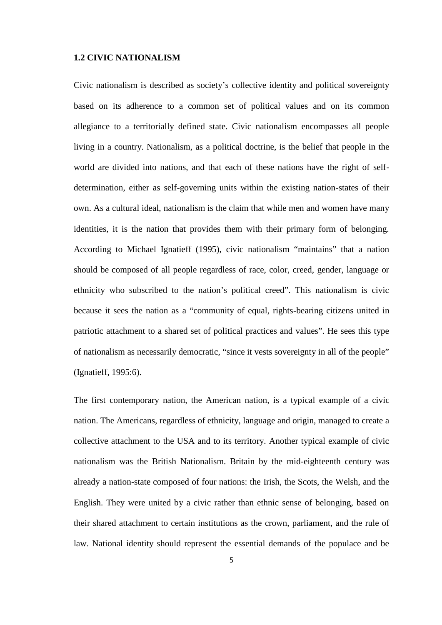#### **1.2 CIVIC NATIONALISM**

Civic nationalism is described as society's collective identity and political sovereignty based on its adherence to a common set of political values and on its common allegiance to a territorially defined state. Civic nationalism encompasses all people living in a country. Nationalism, as a political doctrine, is the belief that people in the world are divided into nations, and that each of these nations have the right of self determination, either as self-governing units within the existing nation-states of their own. As a cultural ideal, nationalism is the claim that while men and women have many identities, it is the nation that provides them with their primary form of belonging. According to Michael Ignatieff (1995), civic nationalism "maintains" that a nation should be composed of all people regardless of race, color, creed, gender, language or ethnicity who subscribed to the nation's political creed". This nationalism is civic because it sees the nation as a "community of equal, rights-bearing citizens united in patriotic attachment to a shared set of political practices and values". He sees this type of nationalism as necessarily democratic, "since it vests sovereignty in all of the people" (Ignatieff, 1995:6).

The first contemporary nation, the American nation, is a typical example of a civic nation. The Americans, regardless of ethnicity, language and origin, managed to create a collective attachment to the USA and to its territory. Another typical example of civic nationalism was the British Nationalism. Britain by the mid-eighteenth century was already a nation-state composed of four nations: the Irish, the Scots, the Welsh, and the English. They were united by a civic rather than ethnic sense of belonging, based on their shared attachment to certain institutions as the crown, parliament, and the rule of law. National identity should represent the essential demands of the populace and be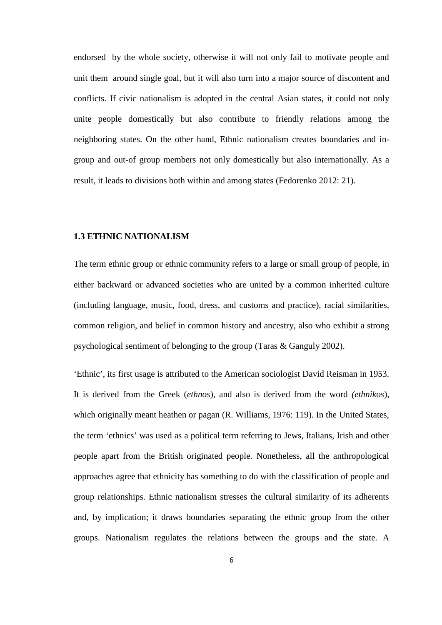endorsed by the whole society, otherwise it will not only fail to motivate people and unit them around single goal, but it will also turn into a major source of discontent and conflicts. If civic nationalism is adopted in the central Asian states, it could not only unite people domestically but also contribute to friendly relations among the neighboring states. On the other hand, Ethnic nationalism creates boundaries and in group and out-of group members not only domestically but also internationally. As a result, it leads to divisions both within and among states (Fedorenko 2012: 21).

#### **1.3 ETHNIC NATIONALISM**

The term ethnic group or ethnic community refers to a large or small group of people, in either backward or advanced societies who are united by a common inherited culture (including language, music, food, dress, and customs and practice), racial similarities, common religion, and belief in common history and ancestry, also who exhibit a strong psychological sentiment of belonging to the group (Taras & Ganguly 2002).

'Ethnic', its first usage is attributed to the American sociologist David Reisman in 1953. It is derived from the Greek (*ethnos*), and also is derived from the word *(ethnikos*), which originally meant heathen or pagan (R. Williams, 1976: 119). In the United States, the term 'ethnics' was used as a political term referring to Jews, Italians, Irish and other people apart from the British originated people. Nonetheless, all the anthropological approaches agree that ethnicity has something to do with the classification of people and group relationships. Ethnic nationalism stresses the cultural similarity of its adherents and, by implication; it draws boundaries separating the ethnic group from the other groups. Nationalism regulates the relations between the groups and the state. A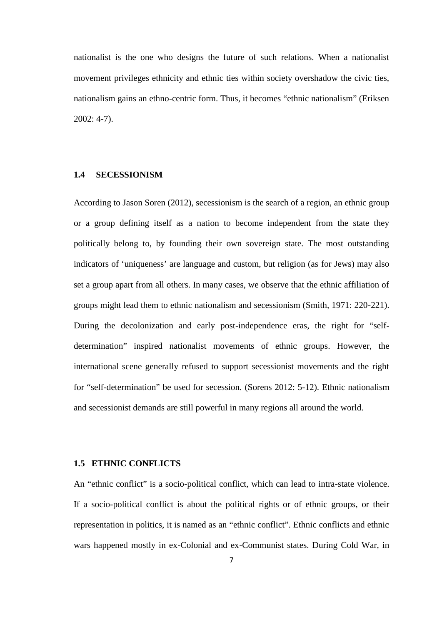nationalist is the one who designs the future of such relations. When a nationalist movement privileges ethnicity and ethnic ties within society overshadow the civic ties, nationalism gains an ethno-centric form. Thus, it becomes "ethnic nationalism" (Eriksen 2002: 4-7).

#### **1.4 SECESSIONISM**

According to Jason Soren (2012), secessionism is the search of a region, an ethnic group or a group defining itself as a nation to become independent from the state they politically belong to, by founding their own sovereign state. The most outstanding indicators of 'uniqueness' are language and custom, but religion (as for Jews) may also set a group apart from all others. In many cases, we observe that the ethnic affiliation of groups might lead them to ethnic nationalism and secessionism (Smith, 1971: 220-221). During the decolonization and early post-independence eras, the right for "self determination" inspired nationalist movements of ethnic groups. However, the international scene generally refused to support secessionist movements and the right for "self-determination" be used for secession. (Sorens 2012: 5-12). Ethnic nationalism and secessionist demands are still powerful in many regions all around the world.

#### **1.5 ETHNIC CONFLICTS**

An "ethnic conflict" is a socio-political conflict, which can lead to intra-state violence. If a socio-political conflict is about the political rights or of ethnic groups, or their representation in politics, it is named as an "ethnic conflict". Ethnic conflicts and ethnic wars happened mostly in ex-Colonial and ex-Communist states. During Cold War, in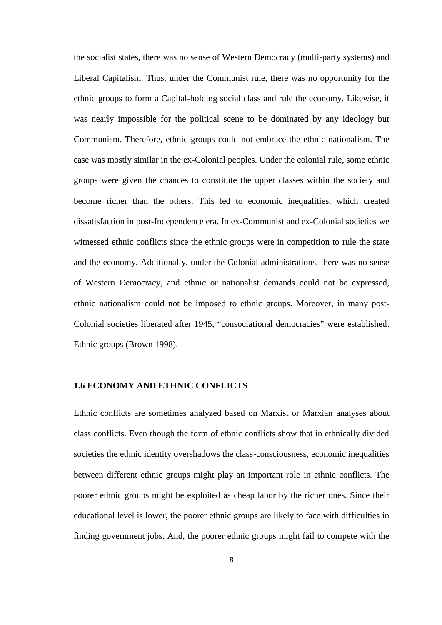the socialist states, there was no sense of Western Democracy (multi-party systems) and Liberal Capitalism. Thus, under the Communist rule, there was no opportunity for the ethnic groups to form a Capital-holding social class and rule the economy. Likewise, it was nearly impossible for the political scene to be dominated by any ideology but Communism. Therefore, ethnic groups could not embrace the ethnic nationalism. The case was mostly similar in the ex-Colonial peoples. Under the colonial rule, some ethnic groups were given the chances to constitute the upper classes within the society and become richer than the others. This led to economic inequalities, which created dissatisfaction in post-Independence era. In ex-Communist and ex-Colonial societies we witnessed ethnic conflicts since the ethnic groups were in competition to rule the state and the economy. Additionally, under the Colonial administrations, there was no sense of Western Democracy, and ethnic or nationalist demands could not be expressed, ethnic nationalism could not be imposed to ethnic groups. Moreover, in many post- Colonial societies liberated after 1945, "consociational democracies" were established. Ethnic groups (Brown 1998).

#### **1.6 ECONOMY AND ETHNIC CONFLICTS**

Ethnic conflicts are sometimes analyzed based on Marxist or Marxian analyses about class conflicts. Even though the form of ethnic conflicts show that in ethnically divided societies the ethnic identity overshadows the class-consciousness, economic inequalities between different ethnic groups might play an important role in ethnic conflicts. The poorer ethnic groups might be exploited as cheap labor by the richer ones. Since their educational level is lower, the poorer ethnic groups are likely to face with difficulties in finding government jobs. And, the poorer ethnic groups might fail to compete with the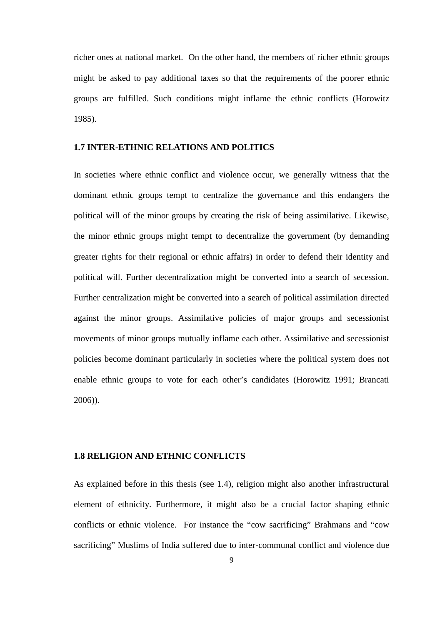richer ones at national market. On the other hand, the members of richer ethnic groups might be asked to pay additional taxes so that the requirements of the poorer ethnic groups are fulfilled. Such conditions might inflame the ethnic conflicts (Horowitz 1985).

#### **1.7 INTER-ETHNIC RELATIONS AND POLITICS**

In societies where ethnic conflict and violence occur, we generally witness that the dominant ethnic groups tempt to centralize the governance and this endangers the political will of the minor groups by creating the risk of being assimilative. Likewise, the minor ethnic groups might tempt to decentralize the government (by demanding greater rights for their regional or ethnic affairs) in order to defend their identity and political will. Further decentralization might be converted into a search of secession. Further centralization might be converted into a search of political assimilation directed against the minor groups. Assimilative policies of major groups and secessionist movements of minor groups mutually inflame each other. Assimilative and secessionist policies become dominant particularly in societies where the political system does not enable ethnic groups to vote for each other's candidates (Horowitz 1991; Brancati 2006)).

#### **1.8 RELIGION AND ETHNIC CONFLICTS**

As explained before in this thesis (see 1.4), religion might also another infrastructural element of ethnicity. Furthermore, it might also be a crucial factor shaping ethnic conflicts or ethnic violence. For instance the "cow sacrificing" Brahmans and "cow sacrificing" Muslims of India suffered due to inter-communal conflict and violence due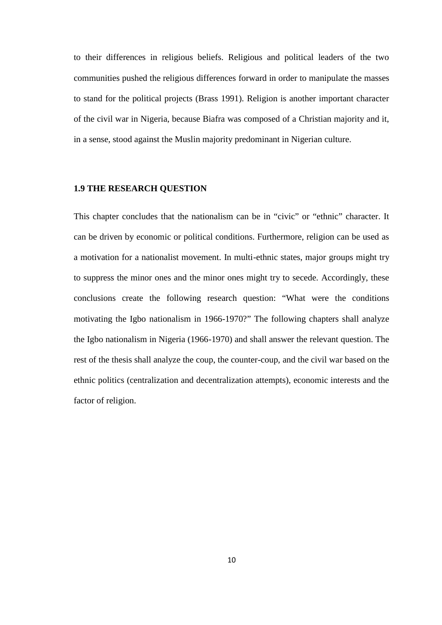to their differences in religious beliefs. Religious and political leaders of the two communities pushed the religious differences forward in order to manipulate the masses to stand for the political projects (Brass 1991). Religion is another important character of the civil war in Nigeria, because Biafra was composed of a Christian majority and it, in a sense, stood against the Muslin majority predominant in Nigerian culture.

#### **1.9 THE RESEARCH QUESTION**

This chapter concludes that the nationalism can be in "civic" or "ethnic" character. It can be driven by economic or political conditions. Furthermore, religion can be used as a motivation for a nationalist movement. In multi-ethnic states, major groups might try to suppress the minor ones and the minor ones might try to secede. Accordingly, these conclusions create the following research question: "What were the conditions motivating the Igbo nationalism in 1966-1970?" The following chapters shall analyze the Igbo nationalism in Nigeria (1966-1970) and shall answer the relevant question. The rest of the thesis shall analyze the coup, the counter-coup, and the civil war based on the ethnic politics (centralization and decentralization attempts), economic interests and the factor of religion.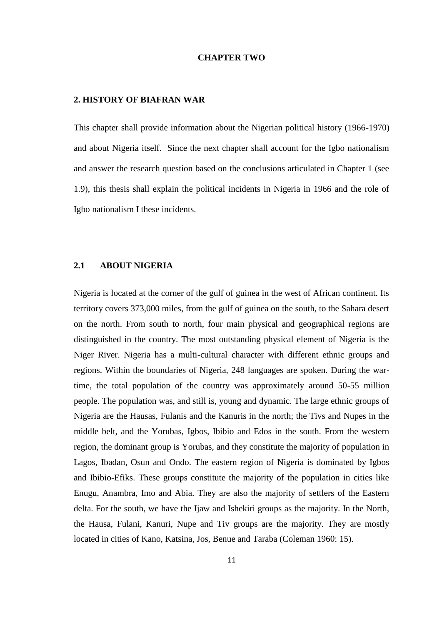#### **CHAPTER TWO**

#### **2. HISTORY OF BIAFRAN WAR**

This chapter shall provide information about the Nigerian political history (1966-1970) and about Nigeria itself. Since the next chapter shall account for the Igbo nationalism and answer the research question based on the conclusions articulated in Chapter 1 (see 1.9), this thesis shall explain the political incidents in Nigeria in 1966 and the role of Igbo nationalism I these incidents.

#### **2.1 ABOUT NIGERIA**

Nigeria is located at the corner of the gulf of guinea in the west of African continent. Its territory covers 373,000 miles, from the gulf of guinea on the south, to the Sahara desert on the north. From south to north, four main physical and geographical regions are distinguished in the country. The most outstanding physical element of Nigeria is the Niger River. Nigeria has a multi-cultural character with different ethnic groups and regions. Within the boundaries of Nigeria, 248 languages are spoken. During the wartime, the total population of the country was approximately around 50-55 million people. The population was, and still is, young and dynamic. The large ethnic groups of Nigeria are the Hausas, Fulanis and the Kanuris in the north; the Tivs and Nupes in the middle belt, and the Yorubas, Igbos, Ibibio and Edos in the south. From the western region, the dominant group is Yorubas, and they constitute the majority of population in Lagos, Ibadan, Osun and Ondo. The eastern region of Nigeria is dominated by Igbos and Ibibio-Efiks. These groups constitute the majority of the population in cities like Enugu, Anambra, Imo and Abia. They are also the majority of settlers of the Eastern delta. For the south, we have the Ijaw and Ishekiri groups as the majority. In the North, the Hausa, Fulani, Kanuri, Nupe and Tiv groups are the majority. They are mostly located in cities of Kano, Katsina, Jos, Benue and Taraba (Coleman 1960: 15).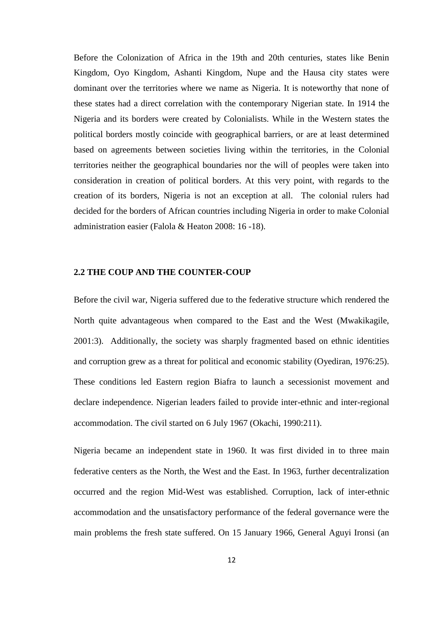Before the Colonization of Africa in the 19th and 20th centuries, states like Benin Kingdom, Oyo Kingdom, Ashanti Kingdom, Nupe and the Hausa city states were dominant over the territories where we name as Nigeria. It is noteworthy that none of these states had a direct correlation with the contemporary Nigerian state. In 1914 the Nigeria and its borders were created by Colonialists. While in the Western states the political borders mostly coincide with geographical barriers, or are at least determined based on agreements between societies living within the territories, in the Colonial territories neither the geographical boundaries nor the will of peoples were taken into consideration in creation of political borders. At this very point, with regards to the creation of its borders, Nigeria is not an exception at all. The colonial rulers had decided for the borders of African countries including Nigeria in order to make Colonial administration easier (Falola & Heaton 2008: 16 -18).

#### **2.2 THE COUP AND THE COUNTER-COUP**

Before the civil war, Nigeria suffered due to the federative structure which rendered the North quite advantageous when compared to the East and the West (Mwakikagile, 2001:3). Additionally, the society was sharply fragmented based on ethnic identities and corruption grew as a threat for political and economic stability (Oyediran, 1976:25). These conditions led Eastern region Biafra to launch a secessionist movement and declare independence. Nigerian leaders failed to provide inter-ethnic and inter-regional accommodation. The civil started on 6 July 1967 (Okachi, 1990:211).

Nigeria became an independent state in 1960. It was first divided in to three main federative centers as the North, the West and the East. In 1963, further decentralization occurred and the region Mid-West was established. Corruption, lack of inter-ethnic accommodation and the unsatisfactory performance of the federal governance were the main problems the fresh state suffered. On 15 January 1966, General Aguyi Ironsi (an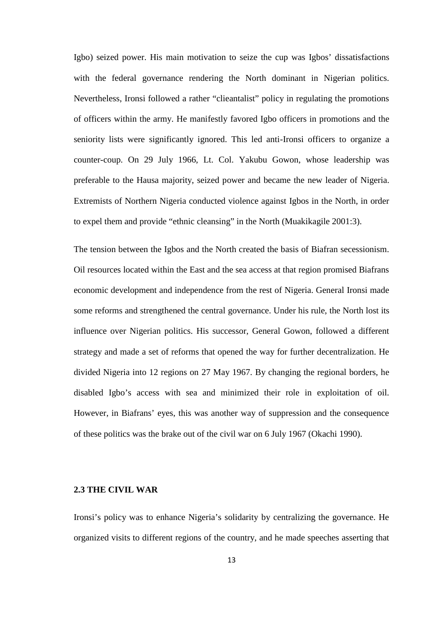Igbo) seized power. His main motivation to seize the cup was Igbos' dissatisfactions with the federal governance rendering the North dominant in Nigerian politics. Nevertheless, Ironsi followed a rather "clieantalist" policy in regulating the promotions of officers within the army. He manifestly favored Igbo officers in promotions and the seniority lists were significantly ignored. This led anti-Ironsi officers to organize a counter-coup. On 29 July 1966, Lt. Col. Yakubu Gowon, whose leadership was preferable to the Hausa majority, seized power and became the new leader of Nigeria. Extremists of Northern Nigeria conducted violence against Igbos in the North, in order to expel them and provide "ethnic cleansing" in the North (Muakikagile 2001:3).

The tension between the Igbos and the North created the basis of Biafran secessionism. Oil resources located within the East and the sea access at that region promised Biafrans economic development and independence from the rest of Nigeria. General Ironsi made some reforms and strengthened the central governance. Under his rule, the North lost its influence over Nigerian politics. His successor, General Gowon, followed a different strategy and made a set of reforms that opened the way for further decentralization. He divided Nigeria into 12 regions on 27 May 1967. By changing the regional borders, he disabled Igbo's access with sea and minimized their role in exploitation of oil. However, in Biafrans' eyes, this was another way of suppression and the consequence of these politics was the brake out of the civil war on 6 July 1967 (Okachi 1990).

#### **2.3 THE CIVIL WAR**

Ironsi's policy was to enhance Nigeria's solidarity by centralizing the governance. He organized visits to different regions of the country, and he made speeches asserting that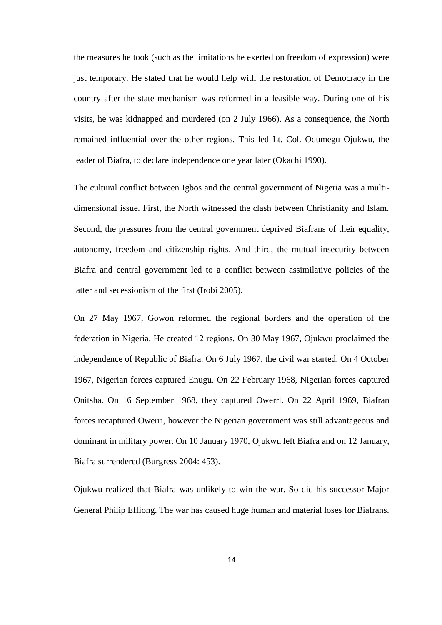the measures he took (such as the limitations he exerted on freedom of expression) were just temporary. He stated that he would help with the restoration of Democracy in the country after the state mechanism was reformed in a feasible way. During one of his visits, he was kidnapped and murdered (on 2 July 1966). As a consequence, the North remained influential over the other regions. This led Lt. Col. Odumegu Ojukwu, the leader of Biafra, to declare independence one year later (Okachi 1990).

The cultural conflict between Igbos and the central government of Nigeria was a multi dimensional issue. First, the North witnessed the clash between Christianity and Islam. Second, the pressures from the central government deprived Biafrans of their equality, autonomy, freedom and citizenship rights. And third, the mutual insecurity between Biafra and central government led to a conflict between assimilative policies of the latter and secessionism of the first (Irobi 2005).

On 27 May 1967, Gowon reformed the regional borders and the operation of the federation in Nigeria. He created 12 regions. On 30 May 1967, Ojukwu proclaimed the independence of Republic of Biafra. On 6 July 1967, the civil war started. On 4 October 1967, Nigerian forces captured Enugu. On 22 February 1968, Nigerian forces captured Onitsha. On 16 September 1968, they captured Owerri. On 22 April 1969, Biafran forces recaptured Owerri, however the Nigerian government was still advantageous and dominant in military power. On 10 January 1970, Ojukwu left Biafra and on 12 January, Biafra surrendered (Burgress 2004: 453).

Ojukwu realized that Biafra was unlikely to win the war. So did his successor Major General Philip Effiong. The war has caused huge human and material loses for Biafrans.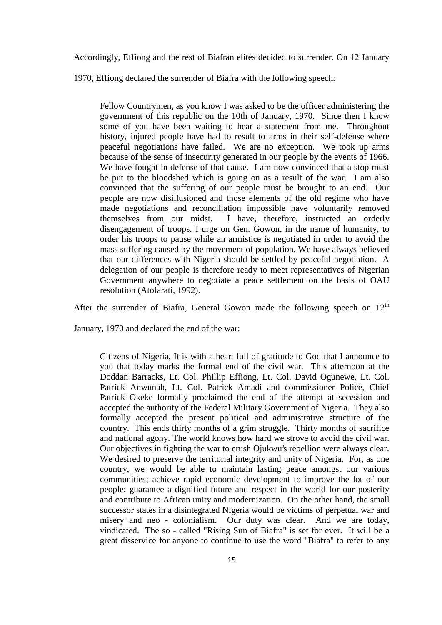Accordingly, Effiong and the rest of Biafran elites decided to surrender. On 12 January

1970, Effiong declared the surrender of Biafra with the following speech:

Fellow Countrymen, as you know I was asked to be the officer administering the government of this republic on the 10th of January, 1970. Since then I know some of you have been waiting to hear a statement from me. Throughout history, injured people have had to result to arms in their self-defense where peaceful negotiations have failed. We are no exception. We took up arms because of the sense of insecurity generated in our people by the events of 1966. We have fought in defense of that cause. I am now convinced that a stop must be put to the bloodshed which is going on as a result of the war. I am also convinced that the suffering of our people must be brought to an end. Our people are now disillusioned and those elements of the old regime who have made negotiations and reconciliation impossible have voluntarily removed themselves from our midst. I have, therefore, instructed an orderly disengagement of troops. I urge on Gen. Gowon, in the name of humanity, to order his troops to pause while an armistice is negotiated in order to avoid the mass suffering caused by the movement of population. We have always believed that our differences with Nigeria should be settled by peaceful negotiation. A delegation of our people is therefore ready to meet representatives of Nigerian Government anywhere to negotiate a peace settlement on the basis of OAU resolution (Atofarati, 1992).

After the surrender of Biafra, General Gowon made the following speech on  $12<sup>th</sup>$ 

January, 1970 and declared the end of the war:

Citizens of Nigeria, It is with a heart full of gratitude to God that I announce to you that today marks the formal end of the civil war. This afternoon at the Doddan Barracks, Lt. Col. Phillip Effiong, Lt. Col. David Ogunewe, Lt. Col. Patrick Anwunah, Lt. Col. Patrick Amadi and commissioner Police, Chief Patrick Okeke formally proclaimed the end of the attempt at secession and accepted the authority of the Federal Military Government of Nigeria. They also formally accepted the present political and administrative structure of the country. This ends thirty months of a grim struggle. Thirty months of sacrifice and national agony. The world knows how hard we strove to avoid the civil war. Our objectives in fighting the war to crush Ojukwu's rebellion were always clear. We desired to preserve the territorial integrity and unity of Nigeria. For, as one country, we would be able to maintain lasting peace amongst our various communities; achieve rapid economic development to improve the lot of our people; guarantee a dignified future and respect in the world for our posterity and contribute to African unity and modernization. On the other hand, the small successor states in a disintegrated Nigeria would be victims of perpetual war and misery and neo - colonialism. Our duty was clear. And we are today, vindicated. The so - called "Rising Sun of Biafra" is set for ever. It will be a great disservice for anyone to continue to use the word "Biafra" to refer to any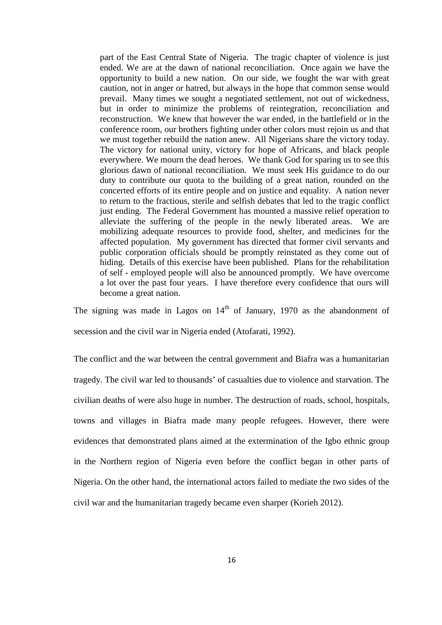part of the East Central State of Nigeria. The tragic chapter of violence is just ended. We are at the dawn of national reconciliation. Once again we have the opportunity to build a new nation. On our side, we fought the war with great caution, not in anger or hatred, but always in the hope that common sense would prevail. Many times we sought a negotiated settlement, not out of wickedness, but in order to minimize the problems of reintegration, reconciliation and reconstruction. We knew that however the war ended, in the battlefield or in the conference room, our brothers fighting under other colors must rejoin us and that we must together rebuild the nation anew. All Nigerians share the victory today. The victory for national unity, victory for hope of Africans, and black people everywhere. We mourn the dead heroes. We thank God for sparing us to see this glorious dawn of national reconciliation. We must seek His guidance to do our duty to contribute our quota to the building of a great nation, rounded on the concerted efforts of its entire people and on justice and equality. A nation never to return to the fractious, sterile and selfish debates that led to the tragic conflict just ending. The Federal Government has mounted a massive relief operation to alleviate the suffering of the people in the newly liberated areas. We are mobilizing adequate resources to provide food, shelter, and medicines for the affected population. My government has directed that former civil servants and public corporation officials should be promptly reinstated as they come out of hiding. Details of this exercise have been published. Plans for the rehabilitation of self - employed people will also be announced promptly. We have overcome a lot over the past four years. I have therefore every confidence that ours will become a great nation.

The signing was made in Lagos on  $14<sup>th</sup>$  of January, 1970 as the abandonment of secession and the civil war in Nigeria ended (Atofarati, 1992).

The conflict and the war between the central government and Biafra was a humanitarian tragedy. The civil war led to thousands' of casualties due to violence and starvation. The civilian deaths of were also huge in number. The destruction of roads, school, hospitals, towns and villages in Biafra made many people refugees. However, there were evidences that demonstrated plans aimed at the extermination of the Igbo ethnic group in the Northern region of Nigeria even before the conflict began in other parts of Nigeria. On the other hand, the international actors failed to mediate the two sides of the civil war and the humanitarian tragedy became even sharper (Korieh 2012).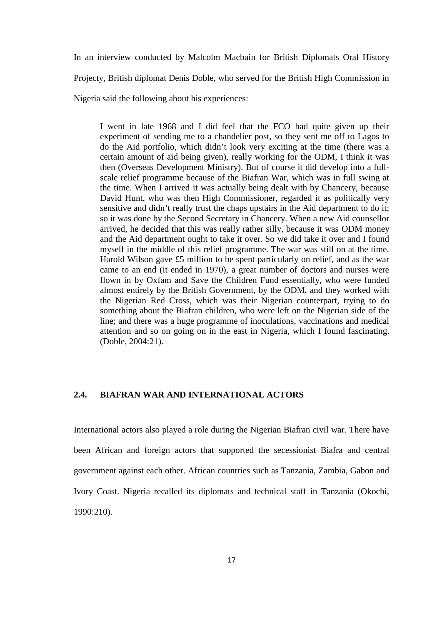In an interview conducted by Malcolm Macbain for British Diplomats Oral History Projecty, British diplomat Denis Doble, who served for the British High Commission in Nigeria said the following about his experiences:

I went in late 1968 and I did feel that the FCO had quite given up their experiment of sending me to a chandelier post, so they sent me off to Lagos to do the Aid portfolio, which didn't look very exciting at the time (there was a certain amount of aid being given), really working for the ODM, I think it was then (Overseas Development Ministry). But of course it did develop into a full scale relief programme because of the Biafran War, which was in full swing at the time. When I arrived it was actually being dealt with by Chancery, because David Hunt, who was then High Commissioner, regarded it as politically very sensitive and didn't really trust the chaps upstairs in the Aid department to do it; so it was done by the Second Secretary in Chancery. When a new Aid counsellor arrived, he decided that this was really rather silly, because it was ODM money and the Aid department ought to take it over. So we did take it over and I found myself in the middle of this relief programme. The war was still on at the time. Harold Wilson gave £5 million to be spent particularly on relief, and as the war came to an end (it ended in 1970), a great number of doctors and nurses were flown in by Oxfam and Save the Children Fund essentially, who were funded almost entirely by the British Government, by the ODM, and they worked with the Nigerian Red Cross, which was their Nigerian counterpart, trying to do something about the Biafran children, who were left on the Nigerian side of the line; and there was a huge programme of inoculations, vaccinations and medical attention and so on going on in the east in Nigeria, which I found fascinating. (Doble, 2004:21).

#### **2.4. BIAFRAN WAR AND INTERNATIONAL ACTORS**

International actors also played a role during the Nigerian Biafran civil war. There have been African and foreign actors that supported the secessionist Biafra and central government against each other. African countries such as Tanzania, Zambia, Gabon and Ivory Coast. Nigeria recalled its diplomats and technical staff in Tanzania (Okochi, 1990:210).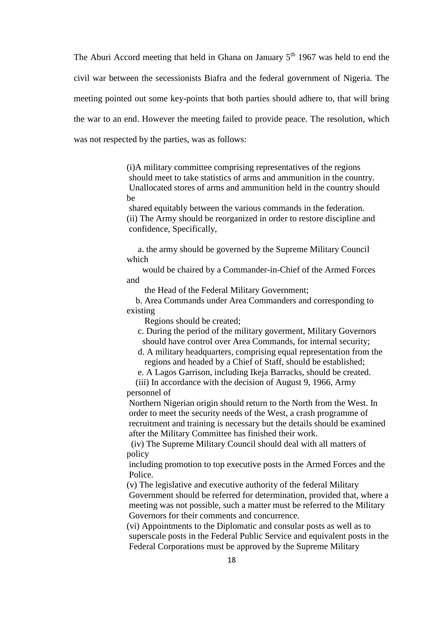The Aburi Accord meeting that held in Ghana on January  $5<sup>th</sup>$  1967 was held to end the civil war between the secessionists Biafra and the federal government of Nigeria. The meeting pointed out some key-points that both parties should adhere to, that will bring the war to an end. However the meeting failed to provide peace. The resolution, which was not respected by the parties, was as follows:

> (i)A military committee comprising representatives of the regions should meet to take statistics of arms and ammunition in the country. Unallocated stores of arms and ammunition held in the country should be

shared equitably between the various commands in the federation. (ii) The Army should be reorganized in order to restore discipline and confidence, Specifically,

a. the army should be governed by the Supreme Military Council which

would be chaired by a Commander-in-Chief of the Armed Forces and

the Head of the Federal Military Government;

b. Area Commands under Area Commanders and corresponding to existing

Regions should be created;

c. During the period of the military goverment, Military Governors should have control over Area Commands, for internal security;

d. A military headquarters, comprising equal representation from the regions and headed by a Chief of Staff, should be established;

e. A Lagos Garrison, including Ikeja Barracks, should be created.

(iii) In accordance with the decision of August 9, 1966, Army personnel of

Northern Nigerian origin should return to the North from the West. In order to meet the security needs of the West, a crash programme of recruitment and training is necessary but the details should be examined after the Military Committee has finished their work.

(iv) The Supreme Military Council should deal with all matters of policy

including promotion to top executive posts in the Armed Forces and the Police.

(v) The legislative and executive authority of the federal Military Government should be referred for determination, provided that, where a meeting was not possible, such a matter must be referred to the Military Governors for their comments and concurrence.

(vi) Appointments to the Diplomatic and consular posts as well as to superscale posts in the Federal Public Service and equivalent posts in the Federal Corporations must be approved by the Supreme Military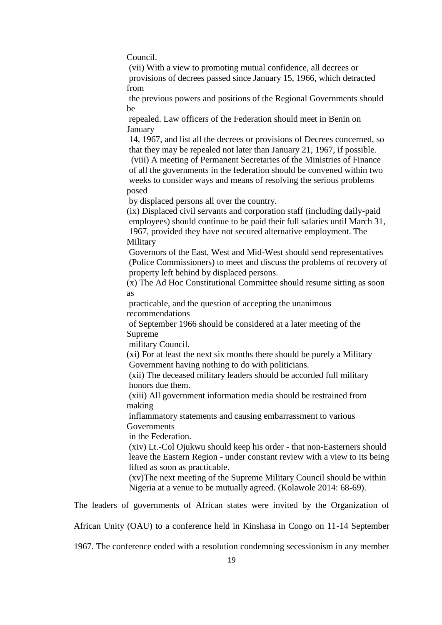Council.

(vii) With a view to promoting mutual confidence, all decrees or provisions of decrees passed since January 15, 1966, which detracted from

the previous powers and positions of the Regional Governments should be

repealed. Law officers of the Federation should meet in Benin on January

14, 1967, and list all the decrees or provisions of Decrees concerned, so that they may be repealed not later than January 21, 1967, if possible. (viii) A meeting of Permanent Secretaries of the Ministries of Finance of all the governments in the federation should be convened within two weeks to consider ways and means of resolving the serious problems

posed

by displaced persons all over the country.

(ix) Displaced civil servants and corporation staff (including daily-paid employees) should continue to be paid their full salaries until March 31, 1967, provided they have not secured alternative employment. The Military

Governors of the East, West and Mid-West should send representatives (Police Commissioners) to meet and discuss the problems of recovery of property left behind by displaced persons.

(x) The Ad Hoc Constitutional Committee should resume sitting as soon as

practicable, and the question of accepting the unanimous recommendations

of September 1966 should be considered at a later meeting of the Supreme

military Council.

(xi) For at least the next six months there should be purely a Military Government having nothing to do with politicians.

(xii) The deceased military leaders should be accorded full military honors due them.

(xiii) All government information media should be restrained from making

inflammatory statements and causing embarrassment to various Governments

in the Federation.

(xiv) Lt.-Col Ojukwu should keep his order - that non-Easterners should leave the Eastern Region - under constant review with a view to its being lifted as soon as practicable.

(xv)The next meeting of the Supreme Military Council should be within Nigeria at a venue to be mutually agreed. (Kolawole 2014: 68-69).

The leaders of governments of African states were invited by the Organization of

African Unity (OAU) to a conference held in Kinshasa in Congo on 11-14 September

1967. The conference ended with a resolution condemning secessionism in any member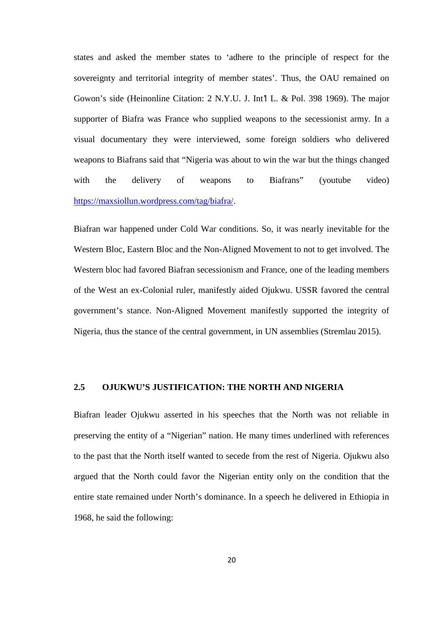states and asked the member states to 'adhere to the principle of respect for the sovereignty and territorial integrity of member states'. Thus, the OAU remained on Gowon's side (Heinonline Citation: 2 N.Y.U. J. Int'l L. & Pol. 398 1969). The major supporter of Biafra was France who supplied weapons to the secessionist army. In a visual documentary they were interviewed, some foreign soldiers who delivered weapons to Biafrans said that "Nigeria was about to win the war but the things changed with the delivery of weapons to Biafrans" (youtube video) https://maxsiollun.wordpress.com/tag/biafra/.

Biafran war happened under Cold War conditions. So, it was nearly inevitable for the Western Bloc, Eastern Bloc and the Non-Aligned Movement to not to get involved. The Western bloc had favored Biafran secessionism and France, one of the leading members of the West an ex-Colonial ruler, manifestly aided Ojukwu. USSR favored the central government's stance. Non-Aligned Movement manifestly supported the integrity of Nigeria, thus the stance of the central government, in UN assemblies (Stremlau 2015).

### **2.5 OJUKWU'S JUSTIFICATION: THE NORTH AND NIGERIA**

Biafran leader Ojukwu asserted in his speeches that the North was not reliable in preserving the entity of a "Nigerian" nation. He many times underlined with references to the past that the North itself wanted to secede from the rest of Nigeria. Ojukwu also argued that the North could favor the Nigerian entity only on the condition that the entire state remained under North's dominance. In a speech he delivered in Ethiopia in 1968, he said the following: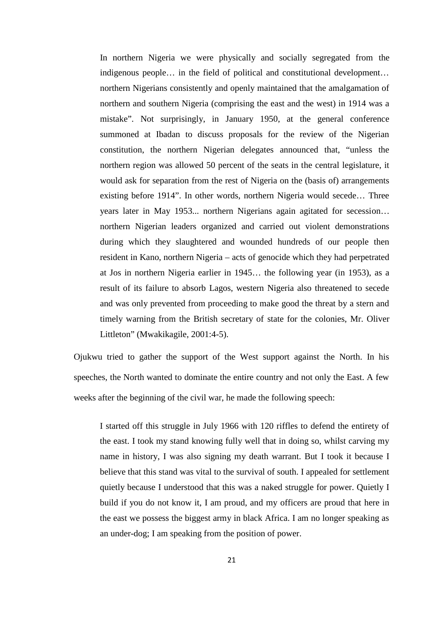In northern Nigeria we were physically and socially segregated from the indigenous people… in the field of political and constitutional development… northern Nigerians consistently and openly maintained that the amalgamation of northern and southern Nigeria (comprising the east and the west) in 1914 was a mistake". Not surprisingly, in January 1950, at the general conference summoned at Ibadan to discuss proposals for the review of the Nigerian constitution, the northern Nigerian delegates announced that, "unless the northern region was allowed 50 percent of the seats in the central legislature, it would ask for separation from the rest of Nigeria on the (basis of) arrangements existing before 1914". In other words, northern Nigeria would secede… Three years later in May 1953... northern Nigerians again agitated for secession… northern Nigerian leaders organized and carried out violent demonstrations during which they slaughtered and wounded hundreds of our people then resident in Kano, northern Nigeria – acts of genocide which they had perpetrated at Jos in northern Nigeria earlier in 1945… the following year (in 1953), as a result of its failure to absorb Lagos, western Nigeria also threatened to secede and was only prevented from proceeding to make good the threat by a stern and timely warning from the British secretary of state for the colonies, Mr. Oliver Littleton" (Mwakikagile, 2001:4-5).

Ojukwu tried to gather the support of the West support against the North. In his speeches, the North wanted to dominate the entire country and not only the East. A few weeks after the beginning of the civil war, he made the following speech:

I started off this struggle in July 1966 with 120 riffles to defend the entirety of the east. I took my stand knowing fully well that in doing so, whilst carving my name in history, I was also signing my death warrant. But I took it because I believe that this stand was vital to the survival of south. I appealed for settlement quietly because I understood that this was a naked struggle for power. Quietly I build if you do not know it, I am proud, and my officers are proud that here in the east we possess the biggest army in black Africa. I am no longer speaking as an under-dog; I am speaking from the position of power.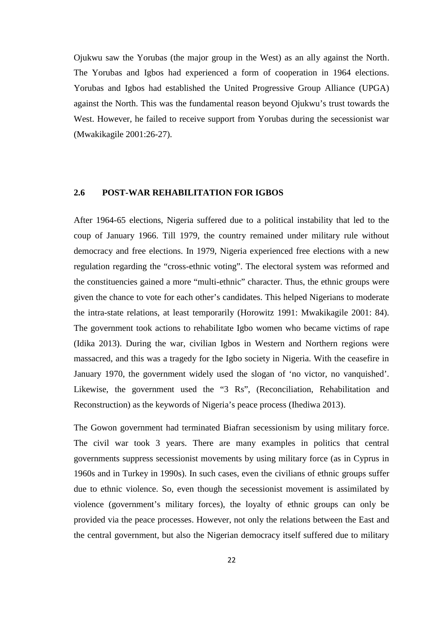Ojukwu saw the Yorubas (the major group in the West) as an ally against the North. The Yorubas and Igbos had experienced a form of cooperation in 1964 elections. Yorubas and Igbos had established the United Progressive Group Alliance (UPGA) against the North. This was the fundamental reason beyond Ojukwu's trust towards the West. However, he failed to receive support from Yorubas during the secessionist war (Mwakikagile 2001:26-27).

#### **2.6 POST-WAR REHABILITATION FOR IGBOS**

After 1964-65 elections, Nigeria suffered due to a political instability that led to the coup of January 1966. Till 1979, the country remained under military rule without democracy and free elections. In 1979, Nigeria experienced free elections with a new regulation regarding the "cross-ethnic voting". The electoral system was reformed and the constituencies gained a more "multi-ethnic" character. Thus, the ethnic groups were given the chance to vote for each other's candidates. This helped Nigerians to moderate the intra-state relations, at least temporarily (Horowitz 1991: Mwakikagile 2001: 84). The government took actions to rehabilitate Igbo women who became victims of rape (Idika 2013). During the war, civilian Igbos in Western and Northern regions were massacred, and this was a tragedy for the Igbo society in Nigeria. With the ceasefire in January 1970, the government widely used the slogan of 'no victor, no vanquished'. Likewise, the government used the "3 Rs", (Reconciliation, Rehabilitation and Reconstruction) as the keywords of Nigeria's peace process (Ihediwa 2013).

The Gowon government had terminated Biafran secessionism by using military force. The civil war took 3 years. There are many examples in politics that central governments suppress secessionist movements by using military force (as in Cyprus in 1960s and in Turkey in 1990s). In such cases, even the civilians of ethnic groups suffer due to ethnic violence. So, even though the secessionist movement is assimilated by violence (government's military forces), the loyalty of ethnic groups can only be provided via the peace processes. However, not only the relations between the East and the central government, but also the Nigerian democracy itself suffered due to military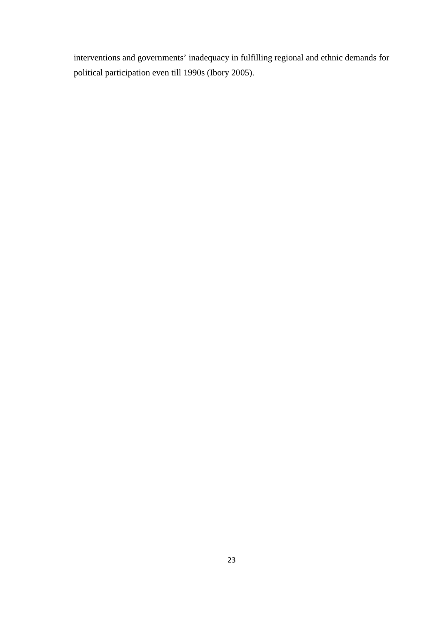interventions and governments' inadequacy in fulfilling regional and ethnic demands for political participation even till 1990s (Ibory 2005).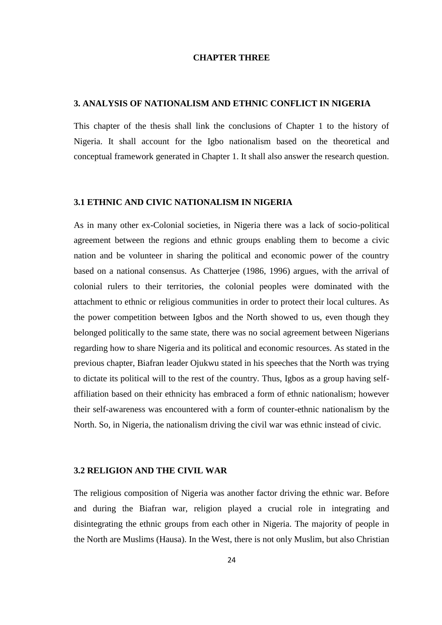#### **CHAPTER THREE**

#### **3. ANALYSIS OF NATIONALISM AND ETHNIC CONFLICT IN NIGERIA**

This chapter of the thesis shall link the conclusions of Chapter 1 to the history of Nigeria. It shall account for the Igbo nationalism based on the theoretical and conceptual framework generated in Chapter 1. It shall also answer the research question.

#### **3.1 ETHNIC AND CIVIC NATIONALISM IN NIGERIA**

As in many other ex-Colonial societies, in Nigeria there was a lack of socio-political agreement between the regions and ethnic groups enabling them to become a civic nation and be volunteer in sharing the political and economic power of the country based on a national consensus. As Chatterjee (1986, 1996) argues, with the arrival of colonial rulers to their territories, the colonial peoples were dominated with the attachment to ethnic or religious communities in order to protect their local cultures. As the power competition between Igbos and the North showed to us, even though they belonged politically to the same state, there was no social agreement between Nigerians regarding how to share Nigeria and its political and economic resources. As stated in the previous chapter, Biafran leader Ojukwu stated in his speeches that the North was trying to dictate its political will to the rest of the country. Thus, Igbos as a group having self affiliation based on their ethnicity has embraced a form of ethnic nationalism; however their self-awareness was encountered with a form of counter-ethnic nationalism by the North. So, in Nigeria, the nationalism driving the civil war was ethnic instead of civic.

#### **3.2 RELIGION AND THE CIVIL WAR**

The religious composition of Nigeria was another factor driving the ethnic war. Before and during the Biafran war, religion played a crucial role in integrating and disintegrating the ethnic groups from each other in Nigeria. The majority of people in the North are Muslims (Hausa). In the West, there is not only Muslim, but also Christian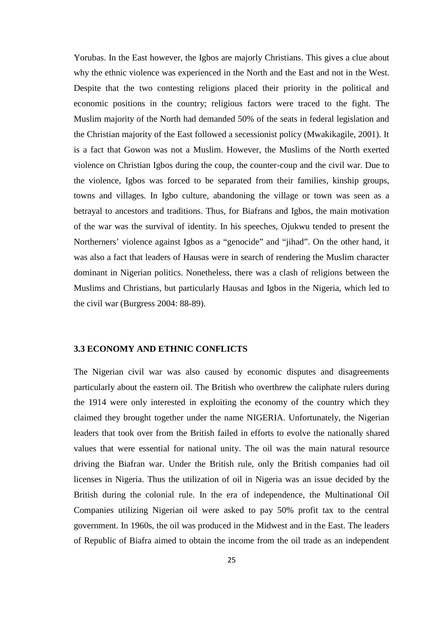Yorubas. In the East however, the Igbos are majorly Christians. This gives a clue about why the ethnic violence was experienced in the North and the East and not in the West. Despite that the two contesting religions placed their priority in the political and economic positions in the country; religious factors were traced to the fight. The Muslim majority of the North had demanded 50% of the seats in federal legislation and the Christian majority of the East followed a secessionist policy (Mwakikagile, 2001). It is a fact that Gowon was not a Muslim. However, the Muslims of the North exerted violence on Christian Igbos during the coup, the counter-coup and the civil war. Due to the violence, Igbos was forced to be separated from their families, kinship groups, towns and villages. In Igbo culture, abandoning the village or town was seen as a betrayal to ancestors and traditions. Thus, for Biafrans and Igbos, the main motivation of the war was the survival of identity. In his speeches, Ojukwu tended to present the Northerners' violence against Igbos as a "genocide" and "jihad". On the other hand, it was also a fact that leaders of Hausas were in search of rendering the Muslim character dominant in Nigerian politics. Nonetheless, there was a clash of religions between the Muslims and Christians, but particularly Hausas and Igbos in the Nigeria, which led to the civil war (Burgress 2004: 88-89).

#### **3.3 ECONOMY AND ETHNIC CONFLICTS**

The Nigerian civil war was also caused by economic disputes and disagreements particularly about the eastern oil. The British who overthrew the caliphate rulers during the 1914 were only interested in exploiting the economy of the country which they claimed they brought together under the name NIGERIA. Unfortunately, the Nigerian leaders that took over from the British failed in efforts to evolve the nationally shared values that were essential for national unity. The oil was the main natural resource driving the Biafran war. Under the British rule, only the British companies had oil licenses in Nigeria. Thus the utilization of oil in Nigeria was an issue decided by the British during the colonial rule. In the era of independence, the Multinational Oil Companies utilizing Nigerian oil were asked to pay 50% profit tax to the central government. In 1960s, the oil was produced in the Midwest and in the East. The leaders of Republic of Biafra aimed to obtain the income from the oil trade as an independent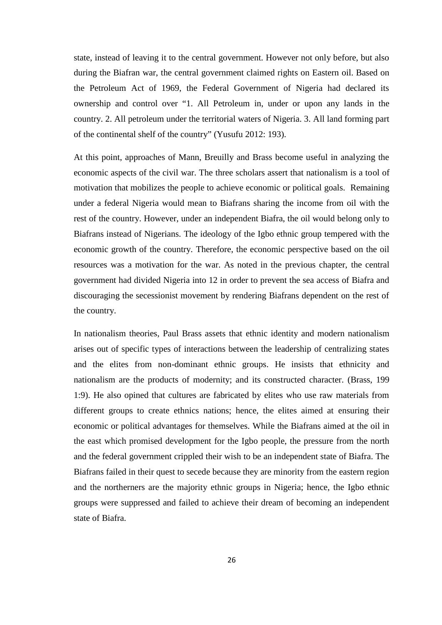state, instead of leaving it to the central government. However not only before, but also during the Biafran war, the central government claimed rights on Eastern oil. Based on the Petroleum Act of 1969, the Federal Government of Nigeria had declared its ownership and control over "1. All Petroleum in, under or upon any lands in the country. 2. All petroleum under the territorial waters of Nigeria. 3. All land forming part of the continental shelf of the country" (Yusufu 2012: 193).

At this point, approaches of Mann, Breuilly and Brass become useful in analyzing the economic aspects of the civil war. The three scholars assert that nationalism is a tool of motivation that mobilizes the people to achieve economic or political goals. Remaining under a federal Nigeria would mean to Biafrans sharing the income from oil with the rest of the country. However, under an independent Biafra, the oil would belong only to Biafrans instead of Nigerians. The ideology of the Igbo ethnic group tempered with the economic growth of the country. Therefore, the economic perspective based on the oil resources was a motivation for the war. As noted in the previous chapter, the central government had divided Nigeria into 12 in order to prevent the sea access of Biafra and discouraging the secessionist movement by rendering Biafrans dependent on the rest of the country.

In nationalism theories, Paul Brass assets that ethnic identity and modern nationalism arises out of specific types of interactions between the leadership of centralizing states and the elites from non-dominant ethnic groups. He insists that ethnicity and nationalism are the products of modernity; and its constructed character. (Brass, 199 1:9). He also opined that cultures are fabricated by elites who use raw materials from different groups to create ethnics nations; hence, the elites aimed at ensuring their economic or political advantages for themselves. While the Biafrans aimed at the oil in the east which promised development for the Igbo people, the pressure from the north and the federal government crippled their wish to be an independent state of Biafra. The Biafrans failed in their quest to secede because they are minority from the eastern region and the northerners are the majority ethnic groups in Nigeria; hence, the Igbo ethnic groups were suppressed and failed to achieve their dream of becoming an independent state of Biafra.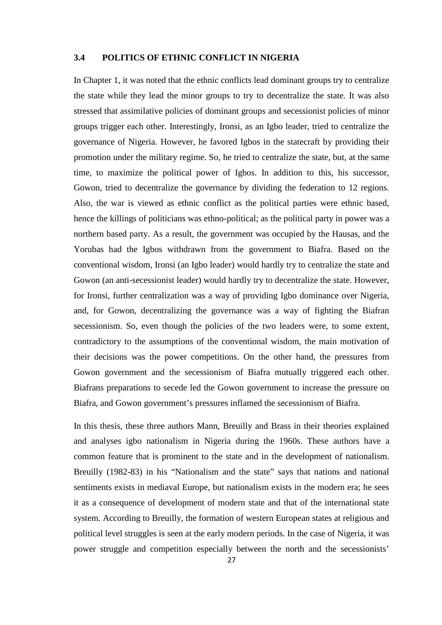#### **3.4 POLITICS OF ETHNIC CONFLICT IN NIGERIA**

In Chapter 1, it was noted that the ethnic conflicts lead dominant groups try to centralize the state while they lead the minor groups to try to decentralize the state. It was also stressed that assimilative policies of dominant groups and secessionist policies of minor groups trigger each other. Interestingly, Ironsi, as an Igbo leader, tried to centralize the governance of Nigeria. However, he favored Igbos in the statecraft by providing their promotion under the military regime. So, he tried to centralize the state, but, at the same time, to maximize the political power of Igbos. In addition to this, his successor, Gowon, tried to decentralize the governance by dividing the federation to 12 regions. Also, the war is viewed as ethnic conflict as the political parties were ethnic based, hence the killings of politicians was ethno-political; as the political party in power was a northern based party. As a result, the government was occupied by the Hausas, and the Yorubas had the Igbos withdrawn from the government to Biafra. Based on the conventional wisdom, Ironsi (an Igbo leader) would hardly try to centralize the state and Gowon (an anti-secessionist leader) would hardly try to decentralize the state. However, for Ironsi, further centralization was a way of providing Igbo dominance over Nigeria, and, for Gowon, decentralizing the governance was a way of fighting the Biafran secessionism. So, even though the policies of the two leaders were, to some extent, contradictory to the assumptions of the conventional wisdom, the main motivation of their decisions was the power competitions. On the other hand, the pressures from Gowon government and the secessionism of Biafra mutually triggered each other. Biafrans preparations to secede led the Gowon government to increase the pressure on Biafra, and Gowon government's pressures inflamed the secessionism of Biafra.

In this thesis, these three authors Mann, Breuilly and Brass in their theories explained and analyses igbo nationalism in Nigeria during the 1960s. These authors have a common feature that is prominent to the state and in the development of nationalism. Breuilly (1982-83) in his "Nationalism and the state" says that nations and national sentiments exists in mediaval Europe, but nationalism exists in the modern era; he sees it as a consequence of development of modern state and that of the international state system. According to Breuilly, the formation of western European states at religious and political level struggles is seen at the early modern periods. In the case of Nigeria, it was power struggle and competition especially between the north and the secessionists'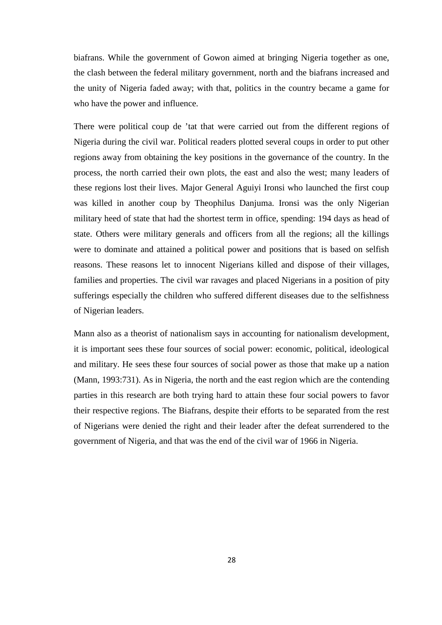biafrans. While the government of Gowon aimed at bringing Nigeria together as one, the clash between the federal military government, north and the biafrans increased and the unity of Nigeria faded away; with that, politics in the country became a game for who have the power and influence.

There were political coup de 'tat that were carried out from the different regions of Nigeria during the civil war. Political readers plotted several coups in order to put other regions away from obtaining the key positions in the governance of the country. In the process, the north carried their own plots, the east and also the west; many leaders of these regions lost their lives. Major General Aguiyi Ironsi who launched the first coup was killed in another coup by Theophilus Danjuma. Ironsi was the only Nigerian military heed of state that had the shortest term in office, spending: 194 days as head of state. Others were military generals and officers from all the regions; all the killings were to dominate and attained a political power and positions that is based on selfish reasons. These reasons let to innocent Nigerians killed and dispose of their villages, families and properties. The civil war ravages and placed Nigerians in a position of pity sufferings especially the children who suffered different diseases due to the selfishness of Nigerian leaders.

Mann also as a theorist of nationalism says in accounting for nationalism development, it is important sees these four sources of social power: economic, political, ideological and military. He sees these four sources of social power as those that make up a nation (Mann, 1993:731). As in Nigeria, the north and the east region which are the contending parties in this research are both trying hard to attain these four social powers to favor their respective regions. The Biafrans, despite their efforts to be separated from the rest of Nigerians were denied the right and their leader after the defeat surrendered to the government of Nigeria, and that was the end of the civil war of 1966 in Nigeria.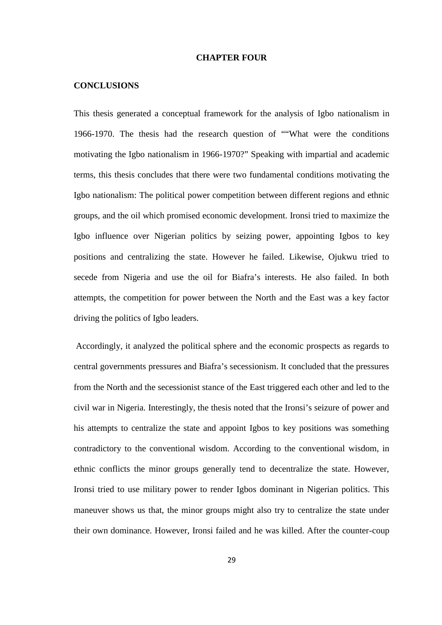#### **CHAPTER FOUR**

#### **CONCLUSIONS**

This thesis generated a conceptual framework for the analysis of Igbo nationalism in 1966-1970. The thesis had the research question of ""What were the conditions motivating the Igbo nationalism in 1966-1970?" Speaking with impartial and academic terms, this thesis concludes that there were two fundamental conditions motivating the Igbo nationalism: The political power competition between different regions and ethnic groups, and the oil which promised economic development. Ironsi tried to maximize the Igbo influence over Nigerian politics by seizing power, appointing Igbos to key positions and centralizing the state. However he failed. Likewise, Ojukwu tried to secede from Nigeria and use the oil for Biafra's interests. He also failed. In both attempts, the competition for power between the North and the East was a key factor driving the politics of Igbo leaders.

Accordingly, it analyzed the political sphere and the economic prospects as regards to central governments pressures and Biafra's secessionism. It concluded that the pressures from the North and the secessionist stance of the East triggered each other and led to the civil war in Nigeria. Interestingly, the thesis noted that the Ironsi's seizure of power and his attempts to centralize the state and appoint Igbos to key positions was something contradictory to the conventional wisdom. According to the conventional wisdom, in ethnic conflicts the minor groups generally tend to decentralize the state. However, Ironsi tried to use military power to render Igbos dominant in Nigerian politics. This maneuver shows us that, the minor groups might also try to centralize the state under their own dominance. However, Ironsi failed and he was killed. After the counter-coup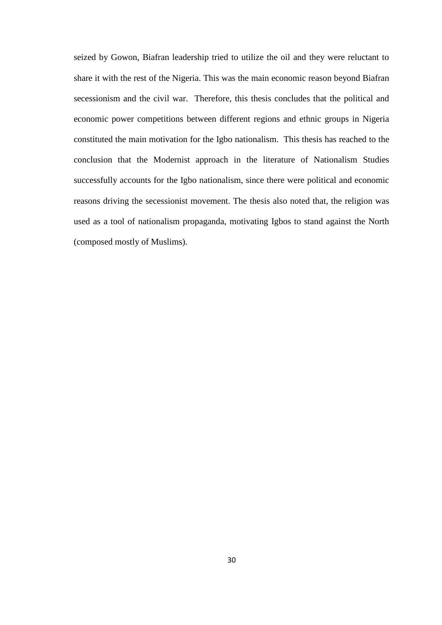seized by Gowon, Biafran leadership tried to utilize the oil and they were reluctant to share it with the rest of the Nigeria. This was the main economic reason beyond Biafran secessionism and the civil war. Therefore, this thesis concludes that the political and economic power competitions between different regions and ethnic groups in Nigeria constituted the main motivation for the Igbo nationalism. This thesis has reached to the conclusion that the Modernist approach in the literature of Nationalism Studies successfully accounts for the Igbo nationalism, since there were political and economic reasons driving the secessionist movement. The thesis also noted that, the religion was used as a tool of nationalism propaganda, motivating Igbos to stand against the North (composed mostly of Muslims).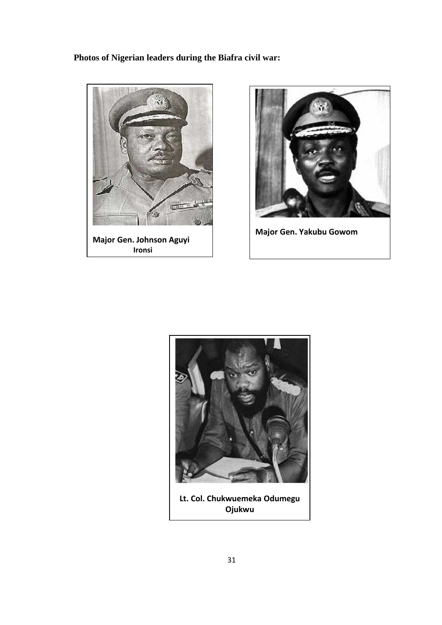# **Photos of Nigerian leaders during the Biafra civil war:**





**Major Gen. Yakubu Gowom**



**Ojukwu**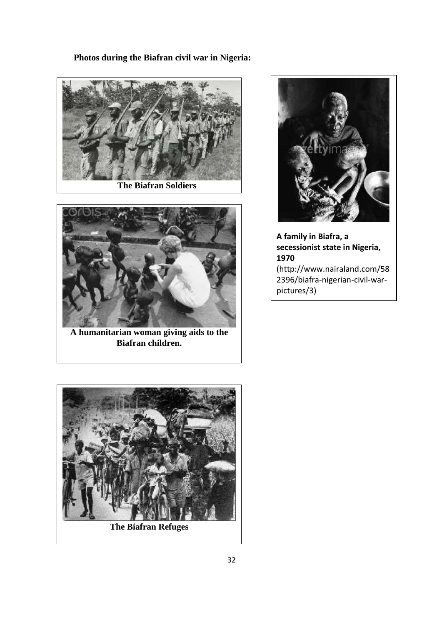### **Photos during the Biafran civil war in Nigeria:**



**The Biafran Soldiers**



**A humanitarian woman giving aids to the Biafran children.**



**A family in Biafra, a secessionist state in Nigeria, 1970** (http://www.nairaland.com/58 2396/biafra-nigerian-civil-war pictures/3)

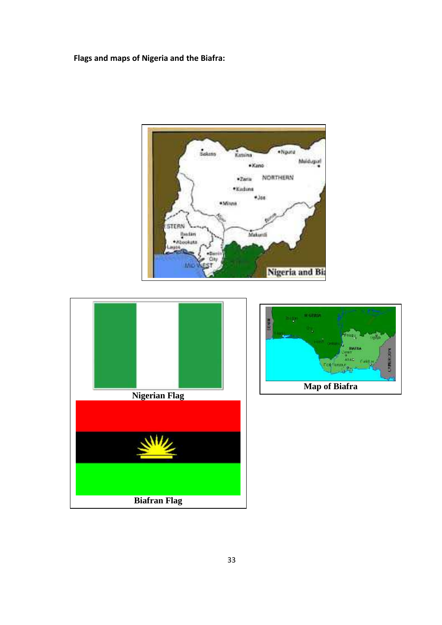**Flags and maps of Nigeria and the Biafra:**





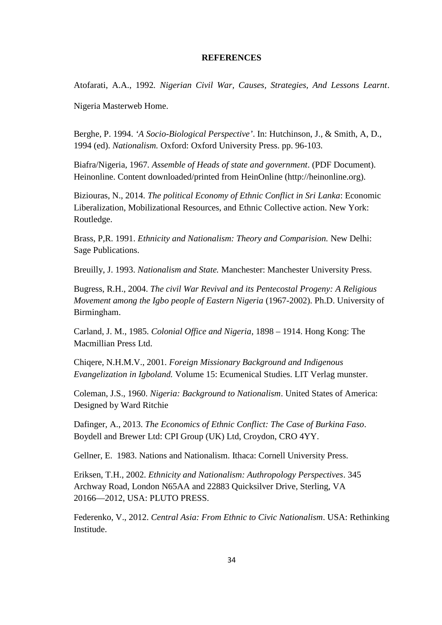#### **REFERENCES**

Atofarati, A.A., 1992*. Nigerian Civil War, Causes, Strategies, And Lessons Learnt*.

Nigeria Masterweb Home.

Berghe, P. 1994. *'A Socio-Biological Perspective'*. In: Hutchinson, J., & Smith, A, D., 1994 (ed). *Nationalism.* Oxford: Oxford University Press. pp. 96-103.

Biafra/Nigeria, 1967*. Assemble of Heads of state and government*. (PDF Document). Heinonline. Content downloaded/printed from HeinOnline (http://heinonline.org).

Biziouras, N., 2014*. The political Economy of Ethnic Conflict in Sri Lanka*: Economic Liberalization, Mobilizational Resources, and Ethnic Collective action. New York: Routledge.

Brass, P,R. 1991. *Ethnicity and Nationalism: Theory and Comparision.* New Delhi: Sage Publications.

Breuilly, J. 1993. *Nationalism and State.* Manchester: Manchester University Press.

Bugress, R.H., 2004. *The civil War Revival and its Pentecostal Progeny: A Religious Movement among the Igbo people of Eastern Nigeria* (1967-2002). Ph.D. University of Birmingham.

Carland, J. M., 1985. *Colonial Office and Nigeria*, 1898 – 1914. Hong Kong: The Macmillian Press Ltd.

Chiqere, N.H.M.V., 2001*. Foreign Missionary Background and Indigenous Evangelization in Igboland.* Volume 15: Ecumenical Studies. LIT Verlag munster.

Coleman, J.S., 1960. *Nigeria: Background to Nationalism*. United States of America: Designed by Ward Ritchie

Dafinger, A., 2013. *The Economics of Ethnic Conflict: The Case of Burkina Faso*. Boydell and Brewer Ltd: CPI Group (UK) Ltd, Croydon, CRO 4YY.

Gellner, E. 1983. Nations and Nationalism. Ithaca: Cornell University Press.

Eriksen, T.H., 2002. *Ethnicity and Nationalism: Authropology Perspectives*. 345 Archway Road, London N65AA and 22883 Quicksilver Drive, Sterling, VA 20166―2012, USA: PLUTO PRESS.

Federenko, V., 2012. *Central Asia: From Ethnic to Civic Nationalism*. USA: Rethinking Institude.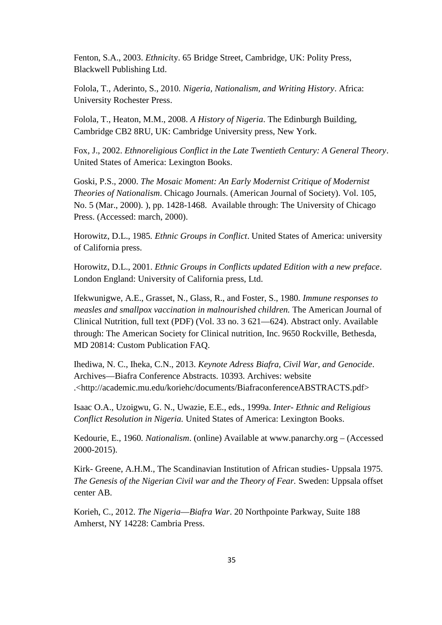Fenton, S.A., 2003. *Ethnici*ty. 65 Bridge Street, Cambridge, UK: Polity Press, Blackwell Publishing Ltd.

Folola, T., Aderinto, S., 2010*. Nigeria, Nationalism, and Writing History*. Africa: University Rochester Press.

Folola, T., Heaton, M.M., 2008. *A History of Nigeria*. The Edinburgh Building, Cambridge CB2 8RU, UK: Cambridge University press, New York.

Fox, J., 2002. *Ethnoreligious Conflict in the Late Twentieth Century: A General Theory*. United States of America: Lexington Books.

Goski, P.S., 2000. *The Mosaic Moment: An Early Modernist Critique of Modernist Theories of Nationalism*. Chicago Journals. (American Journal of Society). Vol. 105, No. 5 (Mar., 2000). ), pp. 1428-1468. Available through: The University of Chicago Press. (Accessed: march, 2000).

Horowitz, D.L., 1985*. Ethnic Groups in Conflict*. United States of America: university of California press.

Horowitz, D.L., 2001. *Ethnic Groups in Conflicts updated Edition with a new preface*. London England: University of California press, Ltd.

Ifekwunigwe, A.E., Grasset, N., Glass, R., and Foster, S., 1980*. Immune responses to measles and smallpox vaccination in malnourished children.* The American Journal of Clinical Nutrition, full text (PDF) (Vol. 33 no. 3 621―624). Abstract only. Available through: The American Society for Clinical nutrition, Inc. 9650 Rockville, Bethesda, MD 20814: Custom Publication FAQ.

Ihediwa, N. C., Iheka, C.N., 2013. *Keynote Adress Biafra, Civil War, and Genocide*. Archives―Biafra Conference Abstracts. 10393. Archives: website .<http://academic.mu.edu/koriehc/documents/BiafraconferenceABSTRACTS.pdf>

Isaac O.A., Uzoigwu, G. N., Uwazie, E.E., eds., 1999a. *Inter- Ethnic and Religious Conflict Resolution in Nigeria.* United States of America: Lexington Books.

Kedourie, E., 1960*. Nationalism*. (online) Available at www.panarchy.org – (Accessed 2000-2015).

Kirk- Greene, A.H.M., The Scandinavian Institution of African studies- Uppsala 1975. *The Genesis of the Nigerian Civil war and the Theory of Fear.* Sweden: Uppsala offset center AB.

Korieh, C., 2012. *The Nigeria―Biafra War*. 20 Northpointe Parkway, Suite 188 Amherst, NY 14228: Cambria Press.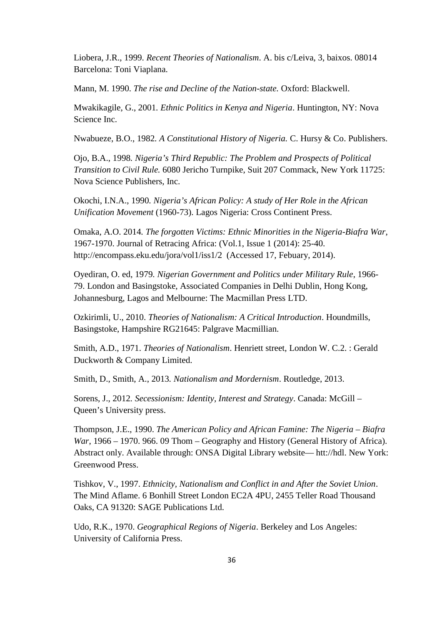Liobera, J.R., 1999*. Recent Theories of Nationalism*. A. bis c/Leiva, 3, baixos. 08014 Barcelona: Toni Viaplana.

Mann, M. 1990. *The rise and Decline of the Nation-state.* Oxford: Blackwell.

Mwakikagile, G., 2001*. Ethnic Politics in Kenya and Nigeria*. Huntington, NY: Nova Science Inc.

Nwabueze, B.O., 1982*. A Constitutional History of Nigeria.* C. Hursy & Co. Publishers.

Ojo, B.A., 1998*. Nigeria's Third Republic: The Problem and Prospects of Political Transition to Civil Rule.* 6080 Jericho Turnpike, Suit 207 Commack, New York 11725: Nova Science Publishers, Inc.

Okochi, I.N.A., 1990*. Nigeria's African Policy: A study of Her Role in the African Unification Movement* (1960-73). Lagos Nigeria: Cross Continent Press.

Omaka, A.O. 2014*. The forgotten Victims: Ethnic Minorities in the Nigeria-Biafra War*, 1967-1970. Journal of Retracing Africa: (Vol.1, Issue 1 (2014): 25-40. http://encompass.eku.edu/jora/vol1/iss1/2 (Accessed 17, Febuary, 2014).

Oyediran, O. ed, 1979*. Nigerian Government and Politics under Military Rule*, 1966- 79. London and Basingstoke, Associated Companies in Delhi Dublin, Hong Kong, Johannesburg, Lagos and Melbourne: The Macmillan Press LTD.

Ozkirimli, U., 2010. *Theories of Nationalism: A Critical Introduction*. Houndmills, Basingstoke, Hampshire RG21645: Palgrave Macmillian.

Smith, A.D., 1971. *Theories of Nationalism*. Henriett street, London W. C.2. : Gerald Duckworth & Company Limited.

Smith, D., Smith, A., 2013*. Nationalism and Mordernism*. Routledge, 2013.

Sorens, J., 2012*. Secessionism: Identity, Interest and Strategy*. Canada: McGill – Queen's University press.

Thompson, J.E., 1990. *The American Policy and African Famine: The Nigeria – Biafra War*, 1966 – 1970. 966. 09 Thom – Geography and History (General History of Africa). Abstract only. Available through: ONSA Digital Library website― htt://hdl. New York: Greenwood Press.

Tishkov, V., 1997. *Ethnicity, Nationalism and Conflict in and After the Soviet Union*. The Mind Aflame. 6 Bonhill Street London EC2A 4PU, 2455 Teller Road Thousand Oaks, CA 91320: SAGE Publications Ltd.

Udo, R.K., 1970. *Geographical Regions of Nigeria*. Berkeley and Los Angeles: University of California Press.